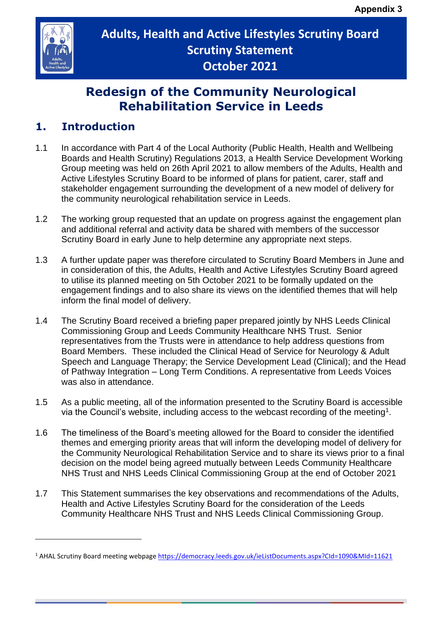

# **Adults, Health and Active Lifestyles Scrutiny Board Scrutiny Statement October 2021**

# **Redesign of the Community Neurological Rehabilitation Service in Leeds**

## **1. Introduction**

- 1.1 In accordance with Part 4 of the Local Authority (Public Health, Health and Wellbeing Boards and Health Scrutiny) Regulations 2013, a Health Service Development Working Group meeting was held on 26th April 2021 to allow members of the Adults, Health and Active Lifestyles Scrutiny Board to be informed of plans for patient, carer, staff and stakeholder engagement surrounding the development of a new model of delivery for the community neurological rehabilitation service in Leeds.
- 1.2 The working group requested that an update on progress against the engagement plan and additional referral and activity data be shared with members of the successor Scrutiny Board in early June to help determine any appropriate next steps.
- 1.3 A further update paper was therefore circulated to Scrutiny Board Members in June and in consideration of this, the Adults, Health and Active Lifestyles Scrutiny Board agreed to utilise its planned meeting on 5th October 2021 to be formally updated on the engagement findings and to also share its views on the identified themes that will help inform the final model of delivery.
- 1.4 The Scrutiny Board received a briefing paper prepared jointly by NHS Leeds Clinical Commissioning Group and Leeds Community Healthcare NHS Trust. Senior representatives from the Trusts were in attendance to help address questions from Board Members. These included the Clinical Head of Service for Neurology & Adult Speech and Language Therapy; the Service Development Lead (Clinical); and the Head of Pathway Integration – Long Term Conditions. A representative from Leeds Voices was also in attendance.
- 1.5 As a public meeting, all of the information presented to the Scrutiny Board is accessible via the Council's website, including access to the webcast recording of the meeting<sup>1</sup>.
- 1.6 The timeliness of the Board's meeting allowed for the Board to consider the identified themes and emerging priority areas that will inform the developing model of delivery for the Community Neurological Rehabilitation Service and to share its views prior to a final decision on the model being agreed mutually between Leeds Community Healthcare NHS Trust and NHS Leeds Clinical Commissioning Group at the end of October 2021
- 1.7 This Statement summarises the key observations and recommendations of the Adults, Health and Active Lifestyles Scrutiny Board for the consideration of the Leeds Community Healthcare NHS Trust and NHS Leeds Clinical Commissioning Group.

<sup>1</sup> AHAL Scrutiny Board meeting webpag[e https://democracy.leeds.gov.uk/ieListDocuments.aspx?CId=1090&MId=11621](https://democracy.leeds.gov.uk/ieListDocuments.aspx?CId=1090&MId=11621)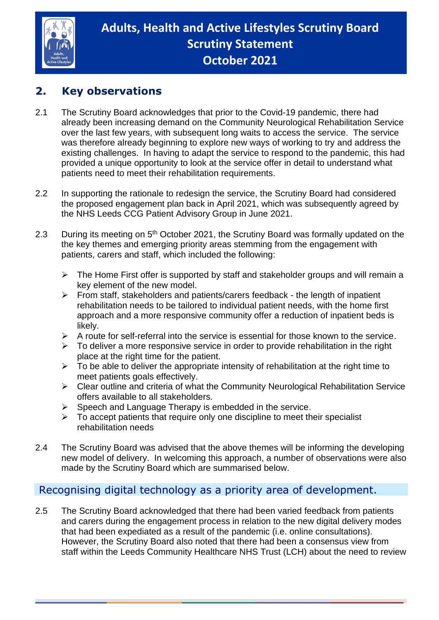

## **2. Key observations**

- 2.1 The Scrutiny Board acknowledges that prior to the Covid-19 pandemic, there had already been increasing demand on the Community Neurological Rehabilitation Service over the last few years, with subsequent long waits to access the service. The service was therefore already beginning to explore new ways of working to try and address the existing challenges. In having to adapt the service to respond to the pandemic, this had provided a unique opportunity to look at the service offer in detail to understand what patients need to meet their rehabilitation requirements.
- 2.2 In supporting the rationale to redesign the service, the Scrutiny Board had considered the proposed engagement plan back in April 2021, which was subsequently agreed by the NHS Leeds CCG Patient Advisory Group in June 2021.
- 2.3 During its meeting on 5<sup>th</sup> October 2021, the Scrutiny Board was formally updated on the the key themes and emerging priority areas stemming from the engagement with patients, carers and staff, which included the following:
	- ➢ The Home First offer is supported by staff and stakeholder groups and will remain a key element of the new model.
	- $\triangleright$  From staff, stakeholders and patients/carers feedback the length of inpatient rehabilitation needs to be tailored to individual patient needs, with the home first approach and a more responsive community offer a reduction of inpatient beds is likely.
	- ➢ A route for self-referral into the service is essential for those known to the service.
	- $\triangleright$  To deliver a more responsive service in order to provide rehabilitation in the right place at the right time for the patient.
	- $\triangleright$  To be able to deliver the appropriate intensity of rehabilitation at the right time to meet patients goals effectively.
	- ➢ Clear outline and criteria of what the Community Neurological Rehabilitation Service offers available to all stakeholders.
	- $\triangleright$  Speech and Language Therapy is embedded in the service.
	- $\triangleright$  To accept patients that require only one discipline to meet their specialist rehabilitation needs
- 2.4 The Scrutiny Board was advised that the above themes will be informing the developing new model of delivery. In welcoming this approach, a number of observations were also made by the Scrutiny Board which are summarised below.

## Recognising digital technology as a priority area of development.

2.5 The Scrutiny Board acknowledged that there had been varied feedback from patients and carers during the engagement process in relation to the new digital delivery modes that had been expediated as a result of the pandemic (i.e. online consultations). However, the Scrutiny Board also noted that there had been a consensus view from staff within the Leeds Community Healthcare NHS Trust (LCH) about the need to review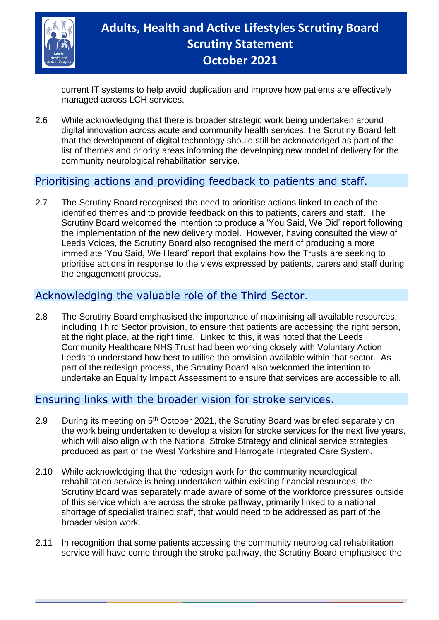

# **Adults, Health and Active Lifestyles Scrutiny Board Scrutiny Statement October 2021**

current IT systems to help avoid duplication and improve how patients are effectively managed across LCH services.

2.6 While acknowledging that there is broader strategic work being undertaken around digital innovation across acute and community health services, the Scrutiny Board felt that the development of digital technology should still be acknowledged as part of the list of themes and priority areas informing the developing new model of delivery for the community neurological rehabilitation service.

## Prioritising actions and providing feedback to patients and staff.

2.7 The Scrutiny Board recognised the need to prioritise actions linked to each of the identified themes and to provide feedback on this to patients, carers and staff. The Scrutiny Board welcomed the intention to produce a 'You Said, We Did' report following the implementation of the new delivery model. However, having consulted the view of Leeds Voices, the Scrutiny Board also recognised the merit of producing a more immediate 'You Said, We Heard' report that explains how the Trusts are seeking to prioritise actions in response to the views expressed by patients, carers and staff during the engagement process.

#### Acknowledging the valuable role of the Third Sector.

2.8 The Scrutiny Board emphasised the importance of maximising all available resources, including Third Sector provision, to ensure that patients are accessing the right person, at the right place, at the right time. Linked to this, it was noted that the Leeds Community Healthcare NHS Trust had been working closely with Voluntary Action Leeds to understand how best to utilise the provision available within that sector. As part of the redesign process, the Scrutiny Board also welcomed the intention to undertake an Equality Impact Assessment to ensure that services are accessible to all.

#### Ensuring links with the broader vision for stroke services.

- 2.9 During its meeting on 5<sup>th</sup> October 2021, the Scrutiny Board was briefed separately on the work being undertaken to develop a vision for stroke services for the next five years, which will also align with the National Stroke Strategy and clinical service strategies produced as part of the West Yorkshire and Harrogate Integrated Care System.
- 2.10 While acknowledging that the redesign work for the community neurological rehabilitation service is being undertaken within existing financial resources, the Scrutiny Board was separately made aware of some of the workforce pressures outside of this service which are across the stroke pathway, primarily linked to a national shortage of specialist trained staff, that would need to be addressed as part of the broader vision work.
- 2.11 In recognition that some patients accessing the community neurological rehabilitation service will have come through the stroke pathway, the Scrutiny Board emphasised the